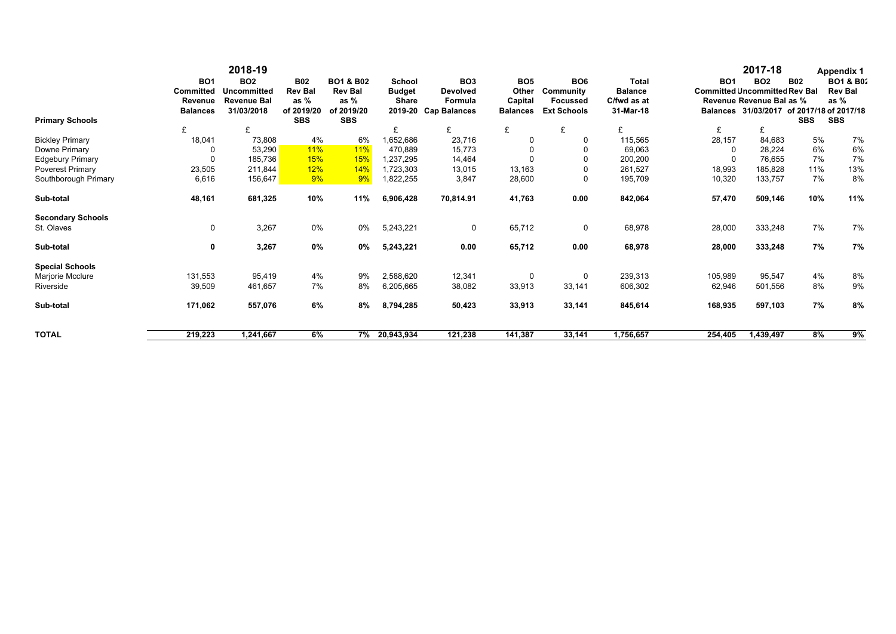| <b>Primary Schools</b>   | <b>BO1</b><br><b>Committed</b><br>Revenue<br><b>Balances</b> | 2018-19<br><b>BO2</b><br><b>Uncommitted</b><br><b>Revenue Bal</b><br>31/03/2018 | <b>B02</b><br><b>Rev Bal</b><br>as $%$<br>of 2019/20<br><b>SBS</b> | <b>BO1 &amp; B02</b><br><b>Rev Bal</b><br>as $%$<br>of 2019/20<br><b>SBS</b> | <b>School</b><br><b>Budget</b><br><b>Share</b><br>2019-20 | BO <sub>3</sub><br><b>Devolved</b><br>Formula<br><b>Cap Balances</b> | BO <sub>5</sub><br>Other<br>Capital<br><b>Balances</b> | BO <sub>6</sub><br>Community<br><b>Focussed</b><br><b>Ext Schools</b> | <b>Total</b><br><b>Balance</b><br>C/fwd as at<br>31-Mar-18 | <b>BO1</b><br><b>Committed Uncommitted Rev Bal</b> | 2017-18<br><b>BO2</b><br>Revenue Revenue Bal as %<br>Balances 31/03/2017 of 2017/18 of 2017/18 | <b>B02</b><br><b>SBS</b> | <b>Appendix 1</b><br><b>BO1 &amp; B02</b><br><b>Rev Bal</b><br>as %<br><b>SBS</b> |
|--------------------------|--------------------------------------------------------------|---------------------------------------------------------------------------------|--------------------------------------------------------------------|------------------------------------------------------------------------------|-----------------------------------------------------------|----------------------------------------------------------------------|--------------------------------------------------------|-----------------------------------------------------------------------|------------------------------------------------------------|----------------------------------------------------|------------------------------------------------------------------------------------------------|--------------------------|-----------------------------------------------------------------------------------|
|                          | £                                                            | £                                                                               |                                                                    |                                                                              | £                                                         | £                                                                    | £                                                      | £                                                                     | £                                                          | £                                                  | £                                                                                              |                          |                                                                                   |
| <b>Bickley Primary</b>   | 18,041                                                       | 73,808                                                                          | 4%                                                                 | 6%                                                                           | 1,652,686                                                 | 23,716                                                               | $\Omega$                                               | 0                                                                     | 115.565                                                    | 28,157                                             | 84,683                                                                                         | 5%                       | 7%                                                                                |
| Downe Primary            |                                                              | 53,290                                                                          | <b>11%</b>                                                         | 11%                                                                          | 470,889                                                   | 15,773                                                               |                                                        |                                                                       | 69,063                                                     |                                                    | 28,224                                                                                         | 6%                       | 6%                                                                                |
| <b>Edgebury Primary</b>  | $\Omega$                                                     | 185,736                                                                         | <b>15%</b>                                                         | 15%                                                                          | 1.237.295                                                 | 14,464                                                               |                                                        |                                                                       | 200,200                                                    |                                                    | 76,655                                                                                         | 7%                       | 7%                                                                                |
| <b>Poverest Primary</b>  | 23,505                                                       | 211,844                                                                         | 12%                                                                | 14%                                                                          | 1,723,303                                                 | 13,015                                                               | 13,163                                                 |                                                                       | 261,527                                                    | 18,993                                             | 185,828                                                                                        | 11%                      | 13%                                                                               |
| Southborough Primary     | 6,616                                                        | 156,647                                                                         | 9%                                                                 | 9%                                                                           | 1,822,255                                                 | 3,847                                                                | 28,600                                                 | $\Omega$                                                              | 195,709                                                    | 10,320                                             | 133,757                                                                                        | 7%                       | 8%                                                                                |
| Sub-total                | 48,161                                                       | 681,325                                                                         | 10%                                                                | 11%                                                                          | 6,906,428                                                 | 70,814.91                                                            | 41,763                                                 | 0.00                                                                  | 842,064                                                    | 57,470                                             | 509,146                                                                                        | 10%                      | 11%                                                                               |
| <b>Secondary Schools</b> |                                                              |                                                                                 |                                                                    |                                                                              |                                                           |                                                                      |                                                        |                                                                       |                                                            |                                                    |                                                                                                |                          |                                                                                   |
| St. Olaves               | 0                                                            | 3,267                                                                           | 0%                                                                 | 0%                                                                           | 5,243,221                                                 | $\mathbf 0$                                                          | 65,712                                                 | 0                                                                     | 68,978                                                     | 28,000                                             | 333,248                                                                                        | 7%                       | 7%                                                                                |
| Sub-total                | 0                                                            | 3,267                                                                           | 0%                                                                 | 0%                                                                           | 5,243,221                                                 | 0.00                                                                 | 65,712                                                 | 0.00                                                                  | 68,978                                                     | 28,000                                             | 333,248                                                                                        | 7%                       | 7%                                                                                |
| <b>Special Schools</b>   |                                                              |                                                                                 |                                                                    |                                                                              |                                                           |                                                                      |                                                        |                                                                       |                                                            |                                                    |                                                                                                |                          |                                                                                   |
| Marjorie Mcclure         | 131,553                                                      | 95,419                                                                          | 4%                                                                 | 9%                                                                           | 2,588,620                                                 | 12,341                                                               | 0                                                      | 0                                                                     | 239,313                                                    | 105,989                                            | 95,547                                                                                         | 4%                       | 8%                                                                                |
| Riverside                | 39,509                                                       | 461,657                                                                         | 7%                                                                 | 8%                                                                           | 6,205,665                                                 | 38,082                                                               | 33,913                                                 | 33,141                                                                | 606,302                                                    | 62,946                                             | 501,556                                                                                        | 8%                       | 9%                                                                                |
| Sub-total                | 171,062                                                      | 557,076                                                                         | 6%                                                                 | 8%                                                                           | 8,794,285                                                 | 50,423                                                               | 33,913                                                 | 33,141                                                                | 845,614                                                    | 168,935                                            | 597,103                                                                                        | 7%                       | 8%                                                                                |
| <b>TOTAL</b>             | 219,223                                                      | 1,241,667                                                                       | 6%                                                                 | 7%                                                                           | 20,943,934                                                | 121,238                                                              | 141,387                                                | 33,141                                                                | 1,756,657                                                  | 254,405                                            | 1,439,497                                                                                      | 8%                       | 9%                                                                                |